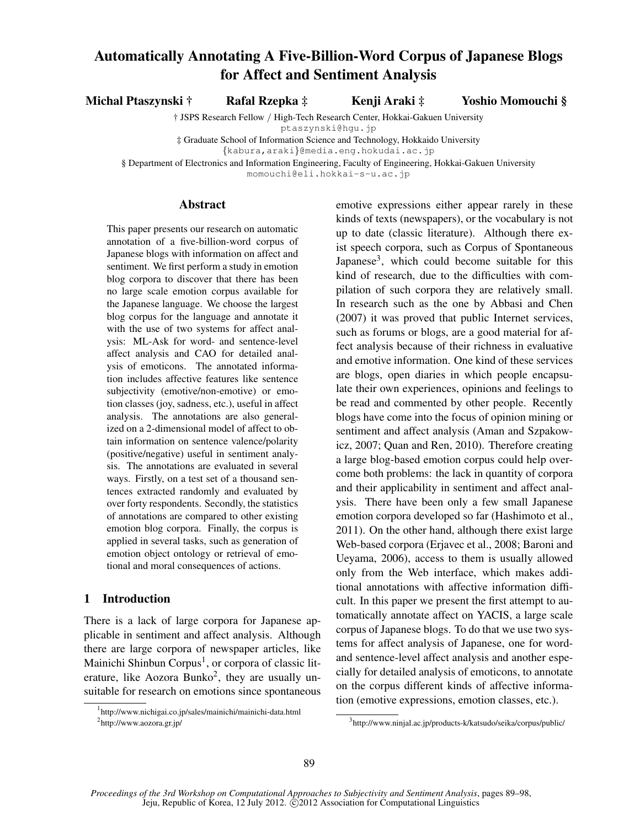# Automatically Annotating A Five-Billion-Word Corpus of Japanese Blogs for Affect and Sentiment Analysis

Michal Ptaszynski † Rafal Rzepka ‡ Kenji Araki ‡ Yoshio Momouchi §

† JSPS Research Fellow */* High-Tech Research Center, Hokkai-Gakuen University

ptaszynski@hgu.jp

‡ Graduate School of Information Science and Technology, Hokkaido University

*{*kabura,araki*}*@media.eng.hokudai.ac.jp

§ Department of Electronics and Information Engineering, Faculty of Engineering, Hokkai-Gakuen University

momouchi@eli.hokkai-s-u.ac.jp

#### Abstract

This paper presents our research on automatic annotation of a five-billion-word corpus of Japanese blogs with information on affect and sentiment. We first perform a study in emotion blog corpora to discover that there has been no large scale emotion corpus available for the Japanese language. We choose the largest blog corpus for the language and annotate it with the use of two systems for affect analysis: ML-Ask for word- and sentence-level affect analysis and CAO for detailed analysis of emoticons. The annotated information includes affective features like sentence subjectivity (emotive/non-emotive) or emotion classes (joy, sadness, etc.), useful in affect analysis. The annotations are also generalized on a 2-dimensional model of affect to obtain information on sentence valence/polarity (positive/negative) useful in sentiment analysis. The annotations are evaluated in several ways. Firstly, on a test set of a thousand sentences extracted randomly and evaluated by over forty respondents. Secondly, the statistics of annotations are compared to other existing emotion blog corpora. Finally, the corpus is applied in several tasks, such as generation of emotion object ontology or retrieval of emotional and moral consequences of actions.

# 1 Introduction

There is a lack of large corpora for Japanese applicable in sentiment and affect analysis. Although there are large corpora of newspaper articles, like Mainichi Shinbun Corpus<sup>1</sup>, or corpora of classic literature, like Aozora Bunko<sup>2</sup>, they are usually unsuitable for research on emotions since spontaneous

emotive expressions either appear rarely in these kinds of texts (newspapers), or the vocabulary is not up to date (classic literature). Although there exist speech corpora, such as Corpus of Spontaneous Japanese<sup>3</sup>, which could become suitable for this kind of research, due to the difficulties with compilation of such corpora they are relatively small. In research such as the one by Abbasi and Chen (2007) it was proved that public Internet services, such as forums or blogs, are a good material for affect analysis because of their richness in evaluative and emotive information. One kind of these services are blogs, open diaries in which people encapsulate their own experiences, opinions and feelings to be read and commented by other people. Recently blogs have come into the focus of opinion mining or sentiment and affect analysis (Aman and Szpakowicz, 2007; Quan and Ren, 2010). Therefore creating a large blog-based emotion corpus could help overcome both problems: the lack in quantity of corpora and their applicability in sentiment and affect analysis. There have been only a few small Japanese emotion corpora developed so far (Hashimoto et al., 2011). On the other hand, although there exist large Web-based corpora (Erjavec et al., 2008; Baroni and Ueyama, 2006), access to them is usually allowed only from the Web interface, which makes additional annotations with affective information difficult. In this paper we present the first attempt to automatically annotate affect on YACIS, a large scale corpus of Japanese blogs. To do that we use two systems for affect analysis of Japanese, one for wordand sentence-level affect analysis and another especially for detailed analysis of emoticons, to annotate on the corpus different kinds of affective information (emotive expressions, emotion classes, etc.).

<sup>1</sup> http://www.nichigai.co.jp/sales/mainichi/mainichi-data.html <sup>2</sup>http://www.aozora.gr.jp/

<sup>&</sup>lt;sup>3</sup>http://www.ninjal.ac.jp/products-k/katsudo/seika/corpus/public/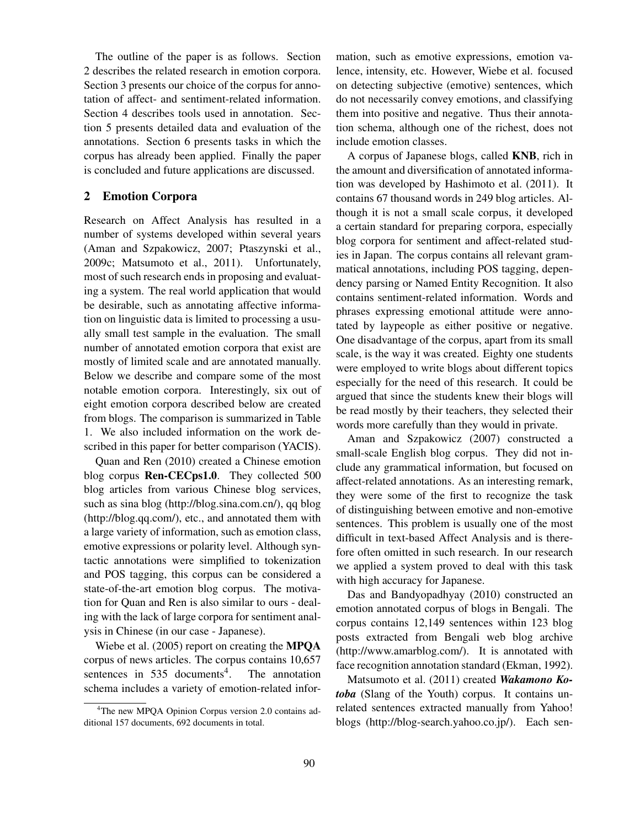The outline of the paper is as follows. Section 2 describes the related research in emotion corpora. Section 3 presents our choice of the corpus for annotation of affect- and sentiment-related information. Section 4 describes tools used in annotation. Section 5 presents detailed data and evaluation of the annotations. Section 6 presents tasks in which the corpus has already been applied. Finally the paper is concluded and future applications are discussed.

# 2 Emotion Corpora

Research on Affect Analysis has resulted in a number of systems developed within several years (Aman and Szpakowicz, 2007; Ptaszynski et al., 2009c; Matsumoto et al., 2011). Unfortunately, most of such research ends in proposing and evaluating a system. The real world application that would be desirable, such as annotating affective information on linguistic data is limited to processing a usually small test sample in the evaluation. The small number of annotated emotion corpora that exist are mostly of limited scale and are annotated manually. Below we describe and compare some of the most notable emotion corpora. Interestingly, six out of eight emotion corpora described below are created from blogs. The comparison is summarized in Table 1. We also included information on the work described in this paper for better comparison (YACIS).

Quan and Ren (2010) created a Chinese emotion blog corpus Ren-CECps1.0. They collected 500 blog articles from various Chinese blog services, such as sina blog (http://blog.sina.com.cn/), qq blog (http://blog.qq.com/), etc., and annotated them with a large variety of information, such as emotion class, emotive expressions or polarity level. Although syntactic annotations were simplified to tokenization and POS tagging, this corpus can be considered a state-of-the-art emotion blog corpus. The motivation for Quan and Ren is also similar to ours - dealing with the lack of large corpora for sentiment analysis in Chinese (in our case - Japanese).

Wiebe et al. (2005) report on creating the **MPQA** corpus of news articles. The corpus contains 10,657 sentences in  $535$  documents<sup>4</sup>. . The annotation schema includes a variety of emotion-related information, such as emotive expressions, emotion valence, intensity, etc. However, Wiebe et al. focused on detecting subjective (emotive) sentences, which do not necessarily convey emotions, and classifying them into positive and negative. Thus their annotation schema, although one of the richest, does not include emotion classes.

A corpus of Japanese blogs, called KNB, rich in the amount and diversification of annotated information was developed by Hashimoto et al. (2011). It contains 67 thousand words in 249 blog articles. Although it is not a small scale corpus, it developed a certain standard for preparing corpora, especially blog corpora for sentiment and affect-related studies in Japan. The corpus contains all relevant grammatical annotations, including POS tagging, dependency parsing or Named Entity Recognition. It also contains sentiment-related information. Words and phrases expressing emotional attitude were annotated by laypeople as either positive or negative. One disadvantage of the corpus, apart from its small scale, is the way it was created. Eighty one students were employed to write blogs about different topics especially for the need of this research. It could be argued that since the students knew their blogs will be read mostly by their teachers, they selected their words more carefully than they would in private.

Aman and Szpakowicz (2007) constructed a small-scale English blog corpus. They did not include any grammatical information, but focused on affect-related annotations. As an interesting remark, they were some of the first to recognize the task of distinguishing between emotive and non-emotive sentences. This problem is usually one of the most difficult in text-based Affect Analysis and is therefore often omitted in such research. In our research we applied a system proved to deal with this task with high accuracy for Japanese.

Das and Bandyopadhyay (2010) constructed an emotion annotated corpus of blogs in Bengali. The corpus contains 12,149 sentences within 123 blog posts extracted from Bengali web blog archive (http://www.amarblog.com/). It is annotated with face recognition annotation standard (Ekman, 1992).

Matsumoto et al. (2011) created *Wakamono Kotoba* (Slang of the Youth) corpus. It contains unrelated sentences extracted manually from Yahoo! blogs (http://blog-search.yahoo.co.jp/). Each sen-

<sup>4</sup>The new MPQA Opinion Corpus version 2.0 contains additional 157 documents, 692 documents in total.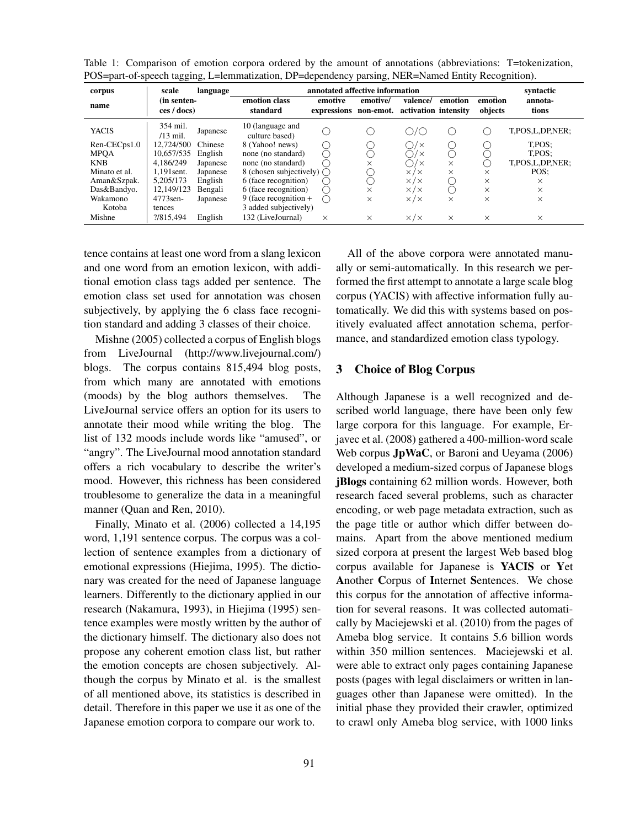Table 1: Comparison of emotion corpora ordered by the amount of annotations (abbreviations: T=tokenization, POS=part-of-speech tagging, L=lemmatization, DP=dependency parsing, NER=Named Entity Recognition).

| $\overline{\phantom{a}}$<br>corpus | scale                      | language |                                    | annotated affective information |                       |                                  |          |                    | syntactic           |
|------------------------------------|----------------------------|----------|------------------------------------|---------------------------------|-----------------------|----------------------------------|----------|--------------------|---------------------|
| name                               | (in senten-<br>ces / docs) |          | emotion class<br>standard          | emotive<br>expressions          | emotive/<br>non-emot. | valence/<br>activation intensity | emotion  | emotion<br>objects | annota-<br>tions    |
| <b>YACIS</b>                       | 354 mil.<br>$/13$ mil.     | Japanese | 10 (language and<br>culture based) |                                 |                       | $\sqrt{2}$                       |          |                    | T,POS,L,DP,NER;     |
| Ren-CECps1.0                       | 12.724/500                 | Chinese  | 8 (Yahoo! news)                    | (                               |                       | $1\times$                        |          |                    | T.POS:              |
| <b>MPQA</b>                        | 10.657/535                 | English  | none (no standard)                 | ⌒                               |                       | $1\times$                        |          |                    | T.POS:              |
| <b>KNB</b>                         | 4.186/249                  | Japanese | none (no standard)                 |                                 | $\times$              |                                  | $\times$ |                    | T, POS, L, DP, NER; |
| Minato et al.                      | 1.191sent.                 | Japanese | 8 (chosen subjectively) $\bigcap$  |                                 |                       | $\times$ / $\times$              | ×        | $\times$           | POS:                |
| Aman&Szpak.                        | 5.205/173                  | English  | 6 (face recognition)               | $\left( \right)$                |                       | $\times$ / $\times$              |          | $\times$           | $\times$            |
| Das&Bandyo.                        | 12.149/123                 | Bengali  | 6 (face recognition)               | 0                               | $\times$              | $\times$ / $\times$              |          | $\times$           | $\times$            |
| Wakamono                           | 4773sen-                   | Japanese | $9$ (face recognition $+$          | $($ )                           | $\times$              | $\times$ / $\times$              | $\times$ | $\times$           | $\times$            |
| Kotoba                             | tences                     |          | 3 added subjectively)              |                                 |                       |                                  |          |                    |                     |
| Mishne                             | ?/815.494                  | English  | 132 (LiveJournal)                  | $\times$                        | $\times$              | $\times$ / $\times$              | ×        | $\times$           | $\times$            |

tence contains at least one word from a slang lexicon and one word from an emotion lexicon, with additional emotion class tags added per sentence. The emotion class set used for annotation was chosen subjectively, by applying the 6 class face recognition standard and adding 3 classes of their choice.

Mishne (2005) collected a corpus of English blogs from LiveJournal (http://www.livejournal.com/) blogs. The corpus contains 815,494 blog posts, from which many are annotated with emotions (moods) by the blog authors themselves. The LiveJournal service offers an option for its users to annotate their mood while writing the blog. The list of 132 moods include words like "amused", or "angry". The LiveJournal mood annotation standard offers a rich vocabulary to describe the writer's mood. However, this richness has been considered troublesome to generalize the data in a meaningful manner (Quan and Ren, 2010).

Finally, Minato et al. (2006) collected a 14,195 word, 1,191 sentence corpus. The corpus was a collection of sentence examples from a dictionary of emotional expressions (Hiejima, 1995). The dictionary was created for the need of Japanese language learners. Differently to the dictionary applied in our research (Nakamura, 1993), in Hiejima (1995) sentence examples were mostly written by the author of the dictionary himself. The dictionary also does not propose any coherent emotion class list, but rather the emotion concepts are chosen subjectively. Although the corpus by Minato et al. is the smallest of all mentioned above, its statistics is described in detail. Therefore in this paper we use it as one of the Japanese emotion corpora to compare our work to.

All of the above corpora were annotated manually or semi-automatically. In this research we performed the first attempt to annotate a large scale blog corpus (YACIS) with affective information fully automatically. We did this with systems based on positively evaluated affect annotation schema, performance, and standardized emotion class typology.

# 3 Choice of Blog Corpus

Although Japanese is a well recognized and described world language, there have been only few large corpora for this language. For example, Erjavec et al. (2008) gathered a 400-million-word scale Web corpus JpWaC, or Baroni and Ueyama (2006) developed a medium-sized corpus of Japanese blogs jBlogs containing 62 million words. However, both research faced several problems, such as character encoding, or web page metadata extraction, such as the page title or author which differ between domains. Apart from the above mentioned medium sized corpora at present the largest Web based blog corpus available for Japanese is YACIS or Yet Another Corpus of Internet Sentences. We chose this corpus for the annotation of affective information for several reasons. It was collected automatically by Maciejewski et al. (2010) from the pages of Ameba blog service. It contains 5.6 billion words within 350 million sentences. Maciejewski et al. were able to extract only pages containing Japanese posts (pages with legal disclaimers or written in languages other than Japanese were omitted). In the initial phase they provided their crawler, optimized to crawl only Ameba blog service, with 1000 links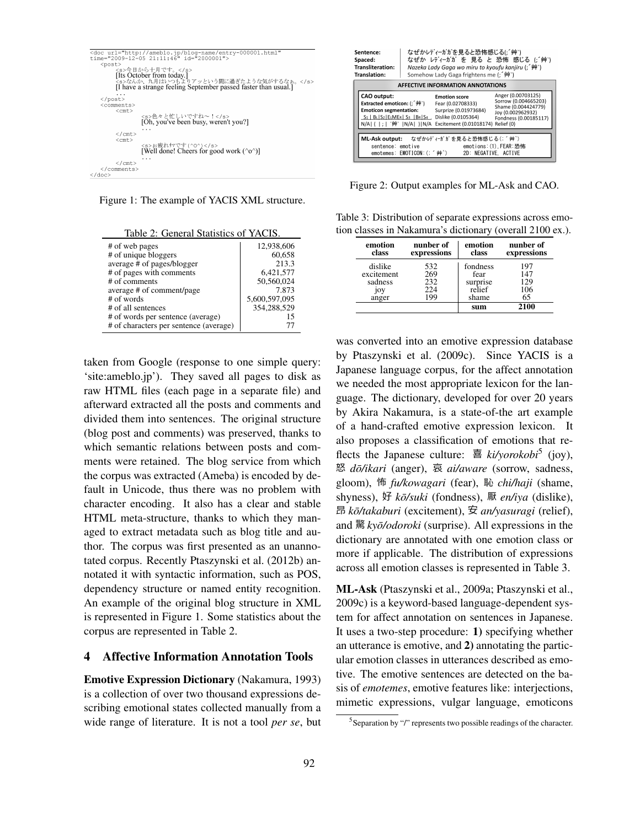|                          | <doc <="" th="" url="http://ameblo.jp/blog-name/entry-000001.html"></doc>                              |
|--------------------------|--------------------------------------------------------------------------------------------------------|
|                          | time="2009-12-05 21:11:46" id="2000001">                                                               |
| <post></post>            |                                                                                                        |
|                          | <s>今日から十月です。</s>                                                                                       |
|                          | [Its October from today.]                                                                              |
|                          |                                                                                                        |
|                          | <s>なんか、九月はいつもよりアッという間に過ぎたような気がするなぁ。</s> [I have a strange feeling September passed faster than usual.] |
|                          |                                                                                                        |
| $\langle$ /post>         |                                                                                                        |
| <comments></comments>    |                                                                                                        |
| $<$ cmt $>$              |                                                                                                        |
|                          | <s>色々と忙しいですね~!</s>                                                                                     |
|                          | [Oh, you've been busy, weren't you?]                                                                   |
|                          |                                                                                                        |
| $\langle$ / $\text{cnt}$ |                                                                                                        |
|                          |                                                                                                        |
| $<$ cmt $>$              |                                                                                                        |
|                          | <s>お疲れサマです (^0^) </s><br>[Well done! Cheers for good work (^o^)]                                       |
|                          |                                                                                                        |
|                          |                                                                                                        |
|                          |                                                                                                        |
|                          |                                                                                                        |
|                          |                                                                                                        |
|                          |                                                                                                        |

Figure 1: The example of YACIS XML structure.

Table 2: General Statistics of YACIS.

| # of web pages                                                              | 12,938,606    |
|-----------------------------------------------------------------------------|---------------|
| # of unique bloggers                                                        | 60,658        |
| average # of pages/blogger                                                  | 213.3         |
| # of pages with comments                                                    | 6,421,577     |
| # of comments                                                               | 50,560,024    |
| average # of comment/page                                                   | 7.873         |
| # of words                                                                  | 5,600,597,095 |
| # of all sentences                                                          | 354,288,529   |
| # of words per sentence (average)<br># of characters per sentence (average) | 15            |

taken from Google (response to one simple query: 'site:ameblo.jp'). They saved all pages to disk as raw HTML files (each page in a separate file) and afterward extracted all the posts and comments and divided them into sentences. The original structure (blog post and comments) was preserved, thanks to which semantic relations between posts and comments were retained. The blog service from which the corpus was extracted (Ameba) is encoded by default in Unicode, thus there was no problem with character encoding. It also has a clear and stable HTML meta-structure, thanks to which they managed to extract metadata such as blog title and author. The corpus was first presented as an unannotated corpus. Recently Ptaszynski et al. (2012b) annotated it with syntactic information, such as POS, dependency structure or named entity recognition. An example of the original blog structure in XML is represented in Figure 1. Some statistics about the corpus are represented in Table 2.

#### 4 Affective Information Annotation Tools

Emotive Expression Dictionary (Nakamura, 1993) is a collection of over two thousand expressions describing emotional states collected manually from a wide range of literature. It is not a tool *per se*, but

| Sentence:<br>Spaced:<br>Transliteration:<br>Translation: |                                                                                                                                                             | なぜかレディーガガを見ると恐怖感じる(;´艸`)<br>なぜか レディーガガ を 見る と 恐怖 感じる (;´艸`)<br>Nazeka Lady Gaga wo miru to kyoufu kanjiru (; ´艸`)<br>Somehow Lady Gaga frightens me (; '艸') |                                                                                                          |                                                                                                                 |  |
|----------------------------------------------------------|-------------------------------------------------------------------------------------------------------------------------------------------------------------|-------------------------------------------------------------------------------------------------------------------------------------------------------------|----------------------------------------------------------------------------------------------------------|-----------------------------------------------------------------------------------------------------------------|--|
|                                                          |                                                                                                                                                             |                                                                                                                                                             | AFFECTIVE INFORMATION ANNOTATIONS                                                                        |                                                                                                                 |  |
|                                                          | CAO output:<br>Extracted emoticon: (; ´艸`)<br><b>Emoticon segmentation:</b><br>S1   BLIS2   ELMER   S3   BRIS4 Dislike (0.0105364)<br>N/A ( ; '艸' N/A ) N/A |                                                                                                                                                             | <b>Emotion score</b><br>Fear (0.02708333)<br>Surprize (0.01973684)<br>Excitement (0.01018174) Relief (0) | Anger (0.00703125)<br>Sorrow (0.004665203)<br>Shame (0.004424779)<br>Joy (0.002962932)<br>Fondness (0.00185117) |  |
|                                                          | sentence: emotive                                                                                                                                           | emotemes: EMOTICON:(; ´艸`)                                                                                                                                  | ML-Ask output: なぜかげ ィガガを見ると恐怖感じる(;´艸`)<br>2D: NEGATIVE. ACTIVE                                           | emotions: (1) FEAR:恐怖                                                                                           |  |

Figure 2: Output examples for ML-Ask and CAO.

Table 3: Distribution of separate expressions across emotion classes in Nakamura's dictionary (overall 2100 ex.).

| emotion<br>class | nunber of<br>expressions | emotion<br>class | nunber of<br>expressions |
|------------------|--------------------------|------------------|--------------------------|
| dislike          | 532                      | fondness         | 197                      |
| excitement       | 269                      | fear             | 147                      |
| sadness          | 232                      | surprise         | 129                      |
| joy              | 224                      | relief           | 106                      |
| anger            | 199                      | shame            | 65                       |
|                  |                          | sum              | 2100                     |

was converted into an emotive expression database by Ptaszynski et al. (2009c). Since YACIS is a Japanese language corpus, for the affect annotation we needed the most appropriate lexicon for the language. The dictionary, developed for over 20 years by Akira Nakamura, is a state-of-the art example of a hand-crafted emotive expression lexicon. It also proposes a classification of emotions that reflects the Japanese culture: 喜 ki/yorokobi<sup>5</sup> (joy), <sup>怒</sup> dō/ikari (anger), 哀 ai/aware (sorrow, sadness, gloom), *fu/kowagari* (fear), *chi/haji* (shame, shyness), 好 kō/suki (fondness), 厭 en/iya (dislike), 昂 kō/takaburi (excitement),  $\hat{\mathcal{F}}$  an/yasuragi (relief), and 驚 kyō/odoroki (surprise). All expressions in the dictionary are annotated with one emotion class or more if applicable. The distribution of expressions across all emotion classes is represented in Table 3.

ML-Ask (Ptaszynski et al., 2009a; Ptaszynski et al., 2009c) is a keyword-based language-dependent system for affect annotation on sentences in Japanese. It uses a two-step procedure: 1) specifying whether an utterance is emotive, and 2) annotating the particular emotion classes in utterances described as emotive. The emotive sentences are detected on the basis of *emotemes*, emotive features like: interjections, mimetic expressions, vulgar language, emoticons

 $5$ Separation by "/" represents two possible readings of the character.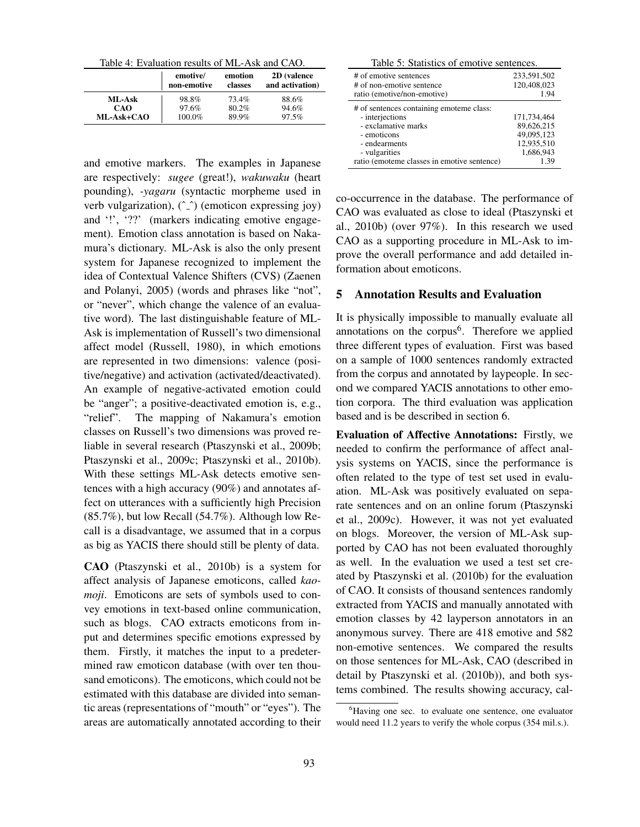Table 4: Evaluation results of ML-Ask and CAO.

|            | emotive/    | emotion | 2D (valence     |
|------------|-------------|---------|-----------------|
|            | non-emotive | classes | and activation) |
| ML-Ask     | 98.8%       | 73.4%   | 88.6%           |
| CAO        | 97.6%       | 80.2%   | 94.6%           |
| ML-Ask+CAO | 100.0%      | 89.9%   | 97.5%           |

and emotive markers. The examples in Japanese are respectively: *sugee* (great!), *wakuwaku* (heart pounding), *-yagaru* (syntactic morpheme used in verb vulgarization),  $(\hat{\ })$  (emoticon expressing joy) and '!', '??' (markers indicating emotive engagement). Emotion class annotation is based on Nakamura's dictionary. ML-Ask is also the only present system for Japanese recognized to implement the idea of Contextual Valence Shifters (CVS) (Zaenen and Polanyi, 2005) (words and phrases like "not", or "never", which change the valence of an evaluative word). The last distinguishable feature of ML-Ask is implementation of Russell's two dimensional affect model (Russell, 1980), in which emotions are represented in two dimensions: valence (positive/negative) and activation (activated/deactivated). An example of negative-activated emotion could be "anger"; a positive-deactivated emotion is, e.g., "relief". The mapping of Nakamura's emotion classes on Russell's two dimensions was proved reliable in several research (Ptaszynski et al., 2009b; Ptaszynski et al., 2009c; Ptaszynski et al., 2010b). With these settings ML-Ask detects emotive sentences with a high accuracy (90%) and annotates affect on utterances with a sufficiently high Precision  $(85.7\%)$ , but low Recall  $(54.7\%)$ . Although low Recall is a disadvantage, we assumed that in a corpus as big as YACIS there should still be plenty of data.

CAO (Ptaszynski et al., 2010b) is a system for affect analysis of Japanese emoticons, called *kaomoji*. Emoticons are sets of symbols used to convey emotions in text-based online communication, such as blogs. CAO extracts emoticons from input and determines specific emotions expressed by them. Firstly, it matches the input to a predetermined raw emoticon database (with over ten thousand emoticons). The emoticons, which could not be estimated with this database are divided into semantic areas (representations of "mouth" or "eyes"). The areas are automatically annotated according to their

Table 5: Statistics of emotive sentences.

| # of emotive sentences                                                                                                                                                             | 233,591,502                                                                |
|------------------------------------------------------------------------------------------------------------------------------------------------------------------------------------|----------------------------------------------------------------------------|
| # of non-emotive sentence                                                                                                                                                          | 120,408,023                                                                |
| ratio (emotive/non-emotive)                                                                                                                                                        | 1.94                                                                       |
| # of sentences containing emoteme class:<br>- interjections<br>- exclamative marks<br>- emoticons<br>- endearments<br>- vulgarities<br>ratio (emoteme classes in emotive sentence) | 171,734,464<br>89,626,215<br>49.095.123<br>12,935,510<br>1,686,943<br>1.39 |

co-occurrence in the database. The performance of CAO was evaluated as close to ideal (Ptaszynski et al., 2010b) (over 97%). In this research we used CAO as a supporting procedure in ML-Ask to improve the overall performance and add detailed information about emoticons.

# 5 Annotation Results and Evaluation

It is physically impossible to manually evaluate all annotations on the corpus<sup>6</sup>. Therefore we applied three different types of evaluation. First was based on a sample of 1000 sentences randomly extracted from the corpus and annotated by laypeople. In second we compared YACIS annotations to other emotion corpora. The third evaluation was application based and is be described in section 6.

Evaluation of Affective Annotations: Firstly, we needed to confirm the performance of affect analysis systems on YACIS, since the performance is often related to the type of test set used in evaluation. ML-Ask was positively evaluated on separate sentences and on an online forum (Ptaszynski et al., 2009c). However, it was not yet evaluated on blogs. Moreover, the version of ML-Ask supported by CAO has not been evaluated thoroughly as well. In the evaluation we used a test set created by Ptaszynski et al. (2010b) for the evaluation of CAO. It consists of thousand sentences randomly extracted from YACIS and manually annotated with emotion classes by 42 layperson annotators in an anonymous survey. There are 418 emotive and 582 non-emotive sentences. We compared the results on those sentences for ML-Ask, CAO (described in detail by Ptaszynski et al. (2010b)), and both systems combined. The results showing accuracy, cal-

<sup>&</sup>lt;sup>6</sup>Having one sec. to evaluate one sentence, one evaluator would need 11.2 years to verify the whole corpus (354 mil.s.).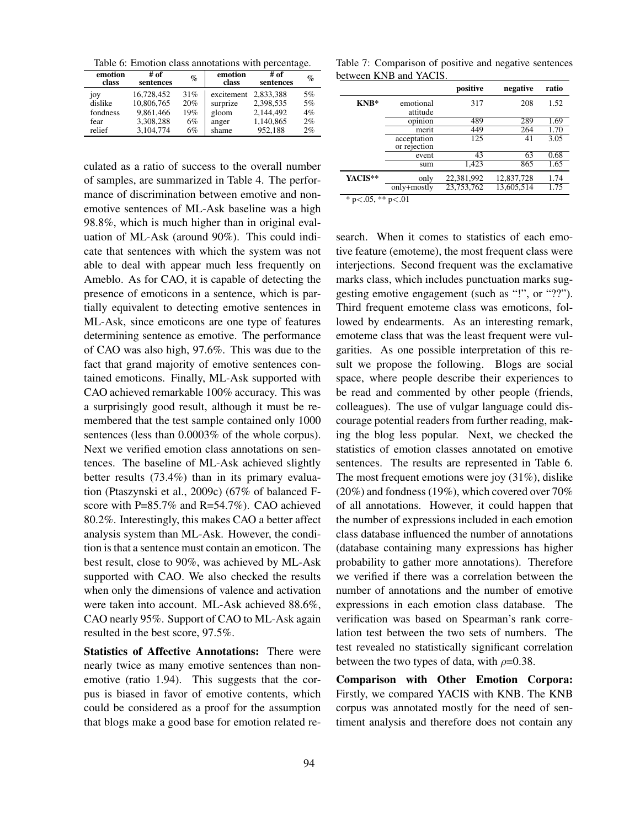Table 6: Emotion class annotations with percentage.

| emotion<br>class | # of<br>sentences | $\%$ | emotion<br>class | # of<br>sentences | $\%$ |
|------------------|-------------------|------|------------------|-------------------|------|
| joy              | 16,728,452        | 31%  | excitement       | 2.833.388         | 5%   |
| dislike          | 10,806,765        | 20%  | surprize         | 2.398.535         | 5%   |
| fondness         | 9.861.466         | 19%  | gloom            | 2.144.492         | 4%   |
| fear             | 3.308.288         | 6%   | anger            | 1,140,865         | 2%   |
| relief           | 3.104.774         | 6%   | shame            | 952.188           | 2%   |

culated as a ratio of success to the overall number of samples, are summarized in Table 4. The performance of discrimination between emotive and nonemotive sentences of ML-Ask baseline was a high 98.8%, which is much higher than in original evaluation of ML-Ask (around 90%). This could indicate that sentences with which the system was not able to deal with appear much less frequently on Ameblo. As for CAO, it is capable of detecting the presence of emoticons in a sentence, which is partially equivalent to detecting emotive sentences in ML-Ask, since emoticons are one type of features determining sentence as emotive. The performance of CAO was also high, 97.6%. This was due to the fact that grand majority of emotive sentences contained emoticons. Finally, ML-Ask supported with CAO achieved remarkable 100% accuracy. This was a surprisingly good result, although it must be remembered that the test sample contained only 1000 sentences (less than 0.0003% of the whole corpus). Next we verified emotion class annotations on sentences. The baseline of ML-Ask achieved slightly better results (73.4%) than in its primary evaluation (Ptaszynski et al., 2009c) (67% of balanced Fscore with P=85.7% and R=54.7%). CAO achieved 80.2%. Interestingly, this makes CAO a better affect analysis system than ML-Ask. However, the condition is that a sentence must contain an emoticon. The best result, close to 90%, was achieved by ML-Ask supported with CAO. We also checked the results when only the dimensions of valence and activation were taken into account. ML-Ask achieved 88.6%, CAO nearly 95%. Support of CAO to ML-Ask again resulted in the best score, 97.5%.

Statistics of Affective Annotations: There were nearly twice as many emotive sentences than nonemotive (ratio 1.94). This suggests that the corpus is biased in favor of emotive contents, which could be considered as a proof for the assumption that blogs make a good base for emotion related re-

Table 7: Comparison of positive and negative sentences between KNB and YACIS.

|                                                |              | positive   | negative   | ratio |
|------------------------------------------------|--------------|------------|------------|-------|
| $KNB*$                                         | emotional    | 317        | 208        | 1.52  |
|                                                | attitude     |            |            |       |
|                                                | opinion      | 489        | 289        | 1.69  |
|                                                | merit        | 449        | 264        | 1.70  |
|                                                | acceptation  | 125        | 41         | 3.05  |
|                                                | or rejection |            |            |       |
|                                                | event        | 43         | 63         | 0.68  |
|                                                | sum          | 1,423      | 865        | 1.65  |
| YACIS**                                        | only         | 22,381,992 | 12,837,728 | 1.74  |
|                                                | only+mostly  | 23,753,762 | 13.605.514 | 1.75  |
| $\sim$ $\sim$ $\sim$<br>als als<br><b>ALC:</b> | $\sim$ 0.1   |            |            |       |

\* p*<*.05, \*\* p*<*.01

search. When it comes to statistics of each emotive feature (emoteme), the most frequent class were interjections. Second frequent was the exclamative marks class, which includes punctuation marks suggesting emotive engagement (such as "!", or "??"). Third frequent emoteme class was emoticons, followed by endearments. As an interesting remark, emoteme class that was the least frequent were vulgarities. As one possible interpretation of this result we propose the following. Blogs are social space, where people describe their experiences to be read and commented by other people (friends, colleagues). The use of vulgar language could discourage potential readers from further reading, making the blog less popular. Next, we checked the statistics of emotion classes annotated on emotive sentences. The results are represented in Table 6. The most frequent emotions were joy (31%), dislike (20%) and fondness (19%), which covered over 70% of all annotations. However, it could happen that the number of expressions included in each emotion class database influenced the number of annotations (database containing many expressions has higher probability to gather more annotations). Therefore we verified if there was a correlation between the number of annotations and the number of emotive expressions in each emotion class database. The verification was based on Spearman's rank correlation test between the two sets of numbers. The test revealed no statistically significant correlation between the two types of data, with  $\rho$ =0.38.

Comparison with Other Emotion Corpora: Firstly, we compared YACIS with KNB. The KNB corpus was annotated mostly for the need of sentiment analysis and therefore does not contain any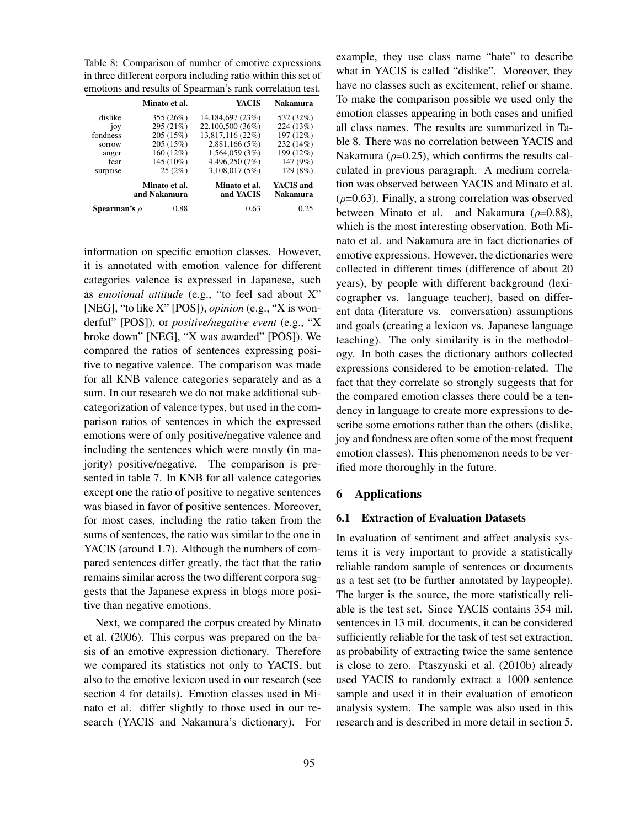Table 8: Comparison of number of emotive expressions in three different corpora including ratio within this set of emotions and results of Spearman's rank correlation test.

|                   | Minato et al.                 | YACIS                      | <b>Nakamura</b>       |
|-------------------|-------------------------------|----------------------------|-----------------------|
| dislike           | 355(26%)                      | 14,184,697 (23%)           | 532 (32%)             |
| joy               | 295 (21%)                     | 22,100,500 (36%)           | 224 (13%)             |
| fondness          | 205 (15%)                     | 13,817,116 (22%)           | 197 (12%)             |
| sorrow            | 205 (15%)                     | 2,881,166(5%)              | 232 (14%)             |
| anger             | 160 (12%)                     | 1,564,059(3%)              | 199 (12%)             |
| fear              | 145 (10%)                     | 4,496,250 (7%)             | 147 (9%)              |
| surprise          | 25(2%)                        | 3,108,017(5%)              | 129 (8%)              |
|                   | Minato et al.<br>and Nakamura | Minato et al.<br>and YACIS | YACIS and<br>Nakamura |
| Spearman's $\rho$ | 0.88                          | 0.63                       | 0.25                  |

information on specific emotion classes. However, it is annotated with emotion valence for different categories valence is expressed in Japanese, such as *emotional attitude* (e.g., "to feel sad about X" [NEG], "to like X" [POS]), *opinion* (e.g., "X is wonderful" [POS]), or *positive/negative event* (e.g., "X broke down" [NEG], "X was awarded" [POS]). We compared the ratios of sentences expressing positive to negative valence. The comparison was made for all KNB valence categories separately and as a sum. In our research we do not make additional subcategorization of valence types, but used in the comparison ratios of sentences in which the expressed emotions were of only positive/negative valence and including the sentences which were mostly (in majority) positive/negative. The comparison is presented in table 7. In KNB for all valence categories except one the ratio of positive to negative sentences was biased in favor of positive sentences. Moreover, for most cases, including the ratio taken from the sums of sentences, the ratio was similar to the one in YACIS (around 1.7). Although the numbers of compared sentences differ greatly, the fact that the ratio remains similar across the two different corpora suggests that the Japanese express in blogs more positive than negative emotions.

Next, we compared the corpus created by Minato et al. (2006). This corpus was prepared on the basis of an emotive expression dictionary. Therefore we compared its statistics not only to YACIS, but also to the emotive lexicon used in our research (see section 4 for details). Emotion classes used in Minato et al. differ slightly to those used in our research (YACIS and Nakamura's dictionary). For

example, they use class name "hate" to describe what in YACIS is called "dislike". Moreover, they have no classes such as excitement, relief or shame. To make the comparison possible we used only the emotion classes appearing in both cases and unified all class names. The results are summarized in Table 8. There was no correlation between YACIS and Nakamura ( $\rho$ =0.25), which confirms the results calculated in previous paragraph. A medium correlation was observed between YACIS and Minato et al.  $(\rho=0.63)$ . Finally, a strong correlation was observed between Minato et al. and Nakamura (*ρ*=0.88), which is the most interesting observation. Both Minato et al. and Nakamura are in fact dictionaries of emotive expressions. However, the dictionaries were collected in different times (difference of about 20 years), by people with different background (lexicographer vs. language teacher), based on different data (literature vs. conversation) assumptions and goals (creating a lexicon vs. Japanese language teaching). The only similarity is in the methodology. In both cases the dictionary authors collected expressions considered to be emotion-related. The fact that they correlate so strongly suggests that for the compared emotion classes there could be a tendency in language to create more expressions to describe some emotions rather than the others (dislike, joy and fondness are often some of the most frequent emotion classes). This phenomenon needs to be verified more thoroughly in the future.

#### 6 Applications

#### 6.1 Extraction of Evaluation Datasets

In evaluation of sentiment and affect analysis systems it is very important to provide a statistically reliable random sample of sentences or documents as a test set (to be further annotated by laypeople). The larger is the source, the more statistically reliable is the test set. Since YACIS contains 354 mil. sentences in 13 mil. documents, it can be considered sufficiently reliable for the task of test set extraction, as probability of extracting twice the same sentence is close to zero. Ptaszynski et al. (2010b) already used YACIS to randomly extract a 1000 sentence sample and used it in their evaluation of emoticon analysis system. The sample was also used in this research and is described in more detail in section 5.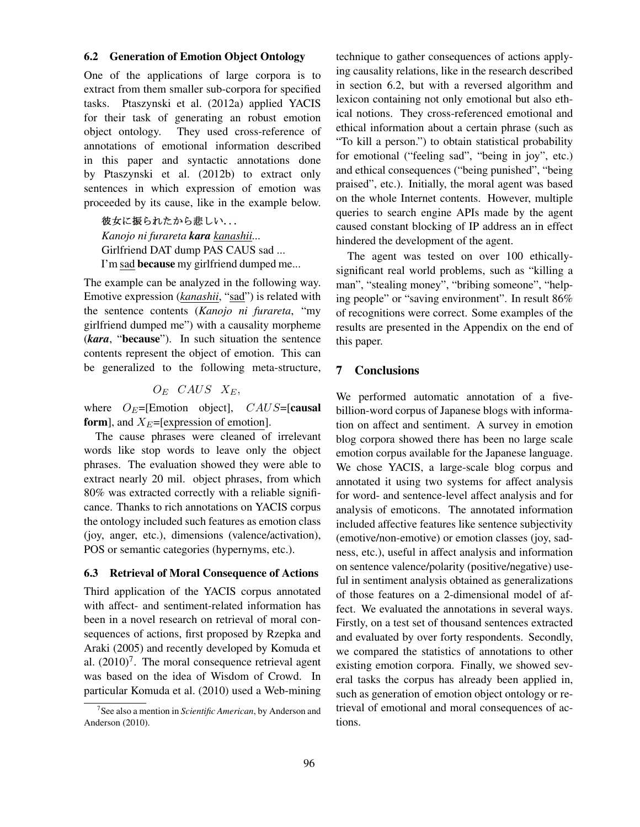#### 6.2 Generation of Emotion Object Ontology

One of the applications of large corpora is to extract from them smaller sub-corpora for specified tasks. Ptaszynski et al. (2012a) applied YACIS for their task of generating an robust emotion object ontology. They used cross-reference of annotations of emotional information described in this paper and syntactic annotations done by Ptaszynski et al. (2012b) to extract only sentences in which expression of emotion was proceeded by its cause, like in the example below.

彼女に振られたから悲しい... *Kanojo ni furareta kara kanashii...* Girlfriend DAT dump PAS CAUS sad ... I'm sad because my girlfriend dumped me...

The example can be analyzed in the following way. Emotive expression (*kanashii*, "sad") is related with the sentence contents (*Kanojo ni furareta*, "my girlfriend dumped me") with a causality morpheme (*kara*, "because"). In such situation the sentence contents represent the object of emotion. This can be generalized to the following meta-structure,

#### $O_E$  *CAUS*  $X_E$ ,

where  $O_E = [Emotion$  object],  $CAUS = [causal]$ form], and  $X_E$ =[expression of emotion].

The cause phrases were cleaned of irrelevant words like stop words to leave only the object phrases. The evaluation showed they were able to extract nearly 20 mil. object phrases, from which 80% was extracted correctly with a reliable significance. Thanks to rich annotations on YACIS corpus the ontology included such features as emotion class (joy, anger, etc.), dimensions (valence/activation), POS or semantic categories (hypernyms, etc.).

#### 6.3 Retrieval of Moral Consequence of Actions

Third application of the YACIS corpus annotated with affect- and sentiment-related information has been in a novel research on retrieval of moral consequences of actions, first proposed by Rzepka and Araki (2005) and recently developed by Komuda et al.  $(2010)^7$ . The moral consequence retrieval agent was based on the idea of Wisdom of Crowd. In particular Komuda et al. (2010) used a Web-mining

technique to gather consequences of actions applying causality relations, like in the research described in section 6.2, but with a reversed algorithm and lexicon containing not only emotional but also ethical notions. They cross-referenced emotional and ethical information about a certain phrase (such as "To kill a person.") to obtain statistical probability for emotional ("feeling sad", "being in joy", etc.) and ethical consequences ("being punished", "being praised", etc.). Initially, the moral agent was based on the whole Internet contents. However, multiple queries to search engine APIs made by the agent caused constant blocking of IP address an in effect hindered the development of the agent.

The agent was tested on over 100 ethicallysignificant real world problems, such as "killing a man", "stealing money", "bribing someone", "helping people" or "saving environment". In result 86% of recognitions were correct. Some examples of the results are presented in the Appendix on the end of this paper.

# 7 Conclusions

We performed automatic annotation of a fivebillion-word corpus of Japanese blogs with information on affect and sentiment. A survey in emotion blog corpora showed there has been no large scale emotion corpus available for the Japanese language. We chose YACIS, a large-scale blog corpus and annotated it using two systems for affect analysis for word- and sentence-level affect analysis and for analysis of emoticons. The annotated information included affective features like sentence subjectivity (emotive/non-emotive) or emotion classes (joy, sadness, etc.), useful in affect analysis and information on sentence valence/polarity (positive/negative) useful in sentiment analysis obtained as generalizations of those features on a 2-dimensional model of affect. We evaluated the annotations in several ways. Firstly, on a test set of thousand sentences extracted and evaluated by over forty respondents. Secondly, we compared the statistics of annotations to other existing emotion corpora. Finally, we showed several tasks the corpus has already been applied in, such as generation of emotion object ontology or retrieval of emotional and moral consequences of actions.

<sup>7</sup> See also a mention in *Scientific American*, by Anderson and Anderson (2010).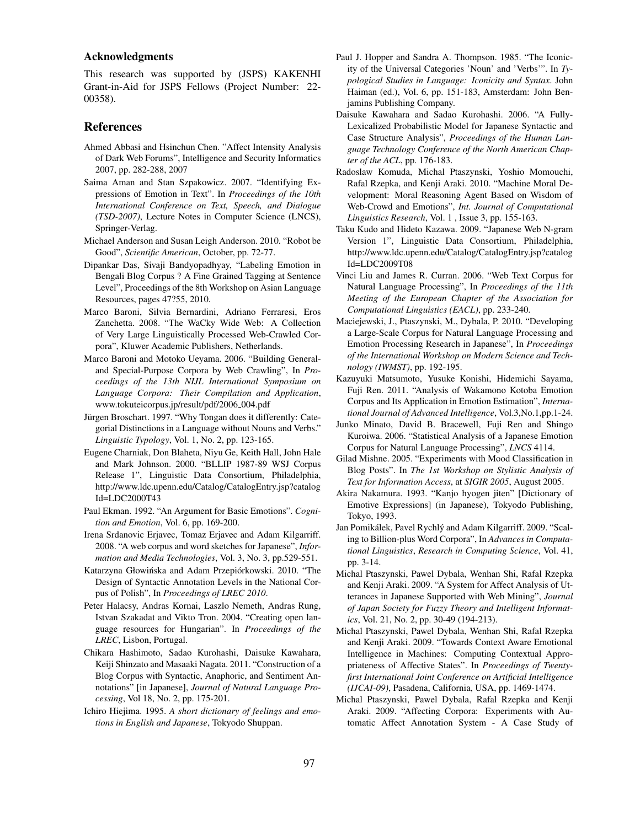#### Acknowledgments

This research was supported by (JSPS) KAKENHI Grant-in-Aid for JSPS Fellows (Project Number: 22- 00358).

#### References

- Ahmed Abbasi and Hsinchun Chen. "Affect Intensity Analysis of Dark Web Forums", Intelligence and Security Informatics 2007, pp. 282-288, 2007
- Saima Aman and Stan Szpakowicz. 2007. "Identifying Expressions of Emotion in Text". In *Proceedings of the 10th International Conference on Text, Speech, and Dialogue (TSD-2007)*, Lecture Notes in Computer Science (LNCS), Springer-Verlag.
- Michael Anderson and Susan Leigh Anderson. 2010. "Robot be Good", *Scientific American*, October, pp. 72-77.
- Dipankar Das, Sivaji Bandyopadhyay, "Labeling Emotion in Bengali Blog Corpus ? A Fine Grained Tagging at Sentence Level", Proceedings of the 8th Workshop on Asian Language Resources, pages 47?55, 2010.
- Marco Baroni, Silvia Bernardini, Adriano Ferraresi, Eros Zanchetta. 2008. "The WaCky Wide Web: A Collection of Very Large Linguistically Processed Web-Crawled Corpora", Kluwer Academic Publishers, Netherlands.
- Marco Baroni and Motoko Ueyama. 2006. "Building Generaland Special-Purpose Corpora by Web Crawling", In *Proceedings of the 13th NIJL International Symposium on Language Corpora: Their Compilation and Application*, www.tokuteicorpus.jp/result/pdf/2006\_004.pdf
- Jürgen Broschart. 1997. "Why Tongan does it differently: Categorial Distinctions in a Language without Nouns and Verbs." *Linguistic Typology*, Vol. 1, No. 2, pp. 123-165.
- Eugene Charniak, Don Blaheta, Niyu Ge, Keith Hall, John Hale and Mark Johnson. 2000. "BLLIP 1987-89 WSJ Corpus Release 1", Linguistic Data Consortium, Philadelphia, http://www.ldc.upenn.edu/Catalog/CatalogEntry.jsp?catalog Id=LDC2000T43
- Paul Ekman. 1992. "An Argument for Basic Emotions". *Cognition and Emotion*, Vol. 6, pp. 169-200.
- Irena Srdanovic Erjavec, Tomaz Erjavec and Adam Kilgarriff. 2008. "A web corpus and word sketches for Japanese", *Information and Media Technologies*, Vol. 3, No. 3, pp.529-551.
- Katarzyna Głowińska and Adam Przepiórkowski. 2010. "The Design of Syntactic Annotation Levels in the National Corpus of Polish", In *Proceedings of LREC 2010*.
- Peter Halacsy, Andras Kornai, Laszlo Nemeth, Andras Rung, Istvan Szakadat and Vikto Tron. 2004. "Creating open language resources for Hungarian". In *Proceedings of the LREC*, Lisbon, Portugal.
- Chikara Hashimoto, Sadao Kurohashi, Daisuke Kawahara, Keiji Shinzato and Masaaki Nagata. 2011. "Construction of a Blog Corpus with Syntactic, Anaphoric, and Sentiment Annotations" [in Japanese], *Journal of Natural Language Processing*, Vol 18, No. 2, pp. 175-201.
- Ichiro Hiejima. 1995. *A short dictionary of feelings and emotions in English and Japanese*, Tokyodo Shuppan.
- Paul J. Hopper and Sandra A. Thompson. 1985. "The Iconicity of the Universal Categories 'Noun' and 'Verbs'". In *Typological Studies in Language: Iconicity and Syntax*. John Haiman (ed.), Vol. 6, pp. 151-183, Amsterdam: John Benjamins Publishing Company.
- Daisuke Kawahara and Sadao Kurohashi. 2006. "A Fully-Lexicalized Probabilistic Model for Japanese Syntactic and Case Structure Analysis", *Proceedings of the Human Language Technology Conference of the North American Chapter of the ACL*, pp. 176-183.
- Radoslaw Komuda, Michal Ptaszynski, Yoshio Momouchi, Rafal Rzepka, and Kenji Araki. 2010. "Machine Moral Development: Moral Reasoning Agent Based on Wisdom of Web-Crowd and Emotions", *Int. Journal of Computational Linguistics Research*, Vol. 1 , Issue 3, pp. 155-163.
- Taku Kudo and Hideto Kazawa. 2009. "Japanese Web N-gram Version 1", Linguistic Data Consortium, Philadelphia, http://www.ldc.upenn.edu/Catalog/CatalogEntry.jsp?catalog Id=LDC2009T08
- Vinci Liu and James R. Curran. 2006. "Web Text Corpus for Natural Language Processing", In *Proceedings of the 11th Meeting of the European Chapter of the Association for Computational Linguistics (EACL)*, pp. 233-240.
- Maciejewski, J., Ptaszynski, M., Dybala, P. 2010. "Developing a Large-Scale Corpus for Natural Language Processing and Emotion Processing Research in Japanese", In *Proceedings of the International Workshop on Modern Science and Technology (IWMST)*, pp. 192-195.
- Kazuyuki Matsumoto, Yusuke Konishi, Hidemichi Sayama, Fuji Ren. 2011. "Analysis of Wakamono Kotoba Emotion Corpus and Its Application in Emotion Estimation", *International Journal of Advanced Intelligence*, Vol.3,No.1,pp.1-24.
- Junko Minato, David B. Bracewell, Fuji Ren and Shingo Kuroiwa. 2006. "Statistical Analysis of a Japanese Emotion Corpus for Natural Language Processing", *LNCS* 4114.
- Gilad Mishne. 2005. "Experiments with Mood Classification in Blog Posts". In *The 1st Workshop on Stylistic Analysis of Text for Information Access*, at *SIGIR 2005*, August 2005.
- Akira Nakamura. 1993. "Kanjo hyogen jiten" [Dictionary of Emotive Expressions] (in Japanese), Tokyodo Publishing, Tokyo, 1993.
- Jan Pomikálek, Pavel Rychlý and Adam Kilgarriff. 2009. "Scaling to Billion-plus Word Corpora", In *Advances in Computational Linguistics*, *Research in Computing Science*, Vol. 41, pp. 3-14.
- Michal Ptaszynski, Pawel Dybala, Wenhan Shi, Rafal Rzepka and Kenji Araki. 2009. "A System for Affect Analysis of Utterances in Japanese Supported with Web Mining", *Journal of Japan Society for Fuzzy Theory and Intelligent Informatics*, Vol. 21, No. 2, pp. 30-49 (194-213).
- Michal Ptaszynski, Pawel Dybala, Wenhan Shi, Rafal Rzepka and Kenji Araki. 2009. "Towards Context Aware Emotional Intelligence in Machines: Computing Contextual Appropriateness of Affective States". In *Proceedings of Twentyfirst International Joint Conference on Artificial Intelligence (IJCAI-09)*, Pasadena, California, USA, pp. 1469-1474.
- Michal Ptaszynski, Pawel Dybala, Rafal Rzepka and Kenji Araki. 2009. "Affecting Corpora: Experiments with Automatic Affect Annotation System - A Case Study of